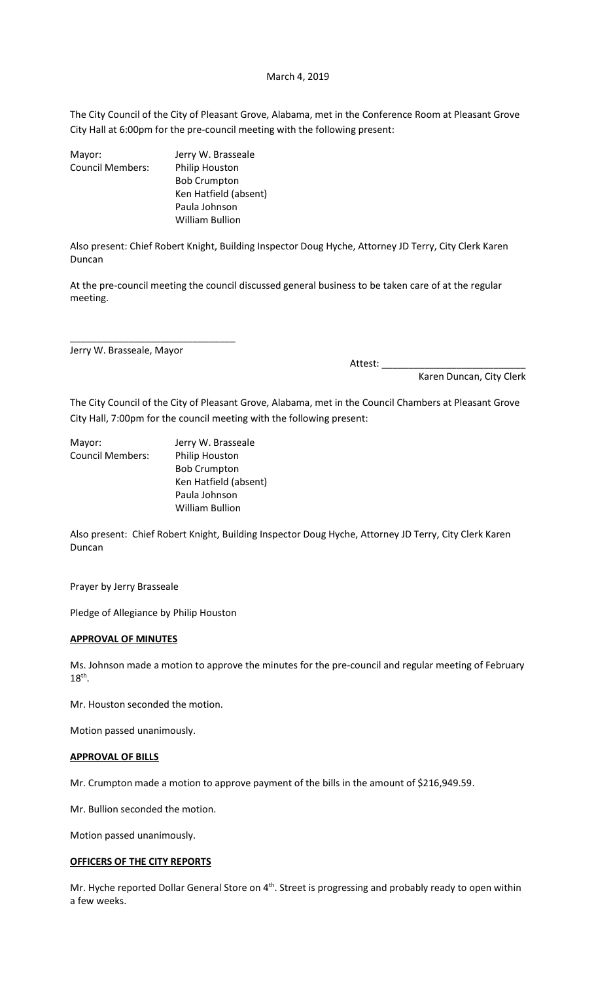#### March 4, 2019

The City Council of the City of Pleasant Grove, Alabama, met in the Conference Room at Pleasant Grove City Hall at 6:00pm for the pre-council meeting with the following present:

| Mayor:                  | Jerry W. Brasseale    |
|-------------------------|-----------------------|
| <b>Council Members:</b> | Philip Houston        |
|                         | <b>Bob Crumpton</b>   |
|                         | Ken Hatfield (absent) |
|                         | Paula Johnson         |
|                         | William Bullion       |

Also present: Chief Robert Knight, Building Inspector Doug Hyche, Attorney JD Terry, City Clerk Karen Duncan

At the pre-council meeting the council discussed general business to be taken care of at the regular meeting.

Jerry W. Brasseale, Mayor

\_\_\_\_\_\_\_\_\_\_\_\_\_\_\_\_\_\_\_\_\_\_\_\_\_\_\_\_\_\_\_

Attest: \_\_\_\_\_\_\_\_\_\_\_\_\_\_\_\_\_\_\_\_\_\_\_\_\_\_\_

Karen Duncan, City Clerk

The City Council of the City of Pleasant Grove, Alabama, met in the Council Chambers at Pleasant Grove City Hall, 7:00pm for the council meeting with the following present:

Mayor: Jerry W. Brasseale Council Members: Philip Houston Bob Crumpton Ken Hatfield (absent) Paula Johnson William Bullion

Also present: Chief Robert Knight, Building Inspector Doug Hyche, Attorney JD Terry, City Clerk Karen Duncan

Prayer by Jerry Brasseale

Pledge of Allegiance by Philip Houston

# **APPROVAL OF MINUTES**

Ms. Johnson made a motion to approve the minutes for the pre-council and regular meeting of February  $18<sup>th</sup>$ .

Mr. Houston seconded the motion.

Motion passed unanimously.

#### **APPROVAL OF BILLS**

Mr. Crumpton made a motion to approve payment of the bills in the amount of \$216,949.59.

Mr. Bullion seconded the motion.

Motion passed unanimously.

### **OFFICERS OF THE CITY REPORTS**

Mr. Hyche reported Dollar General Store on 4<sup>th</sup>. Street is progressing and probably ready to open within a few weeks.